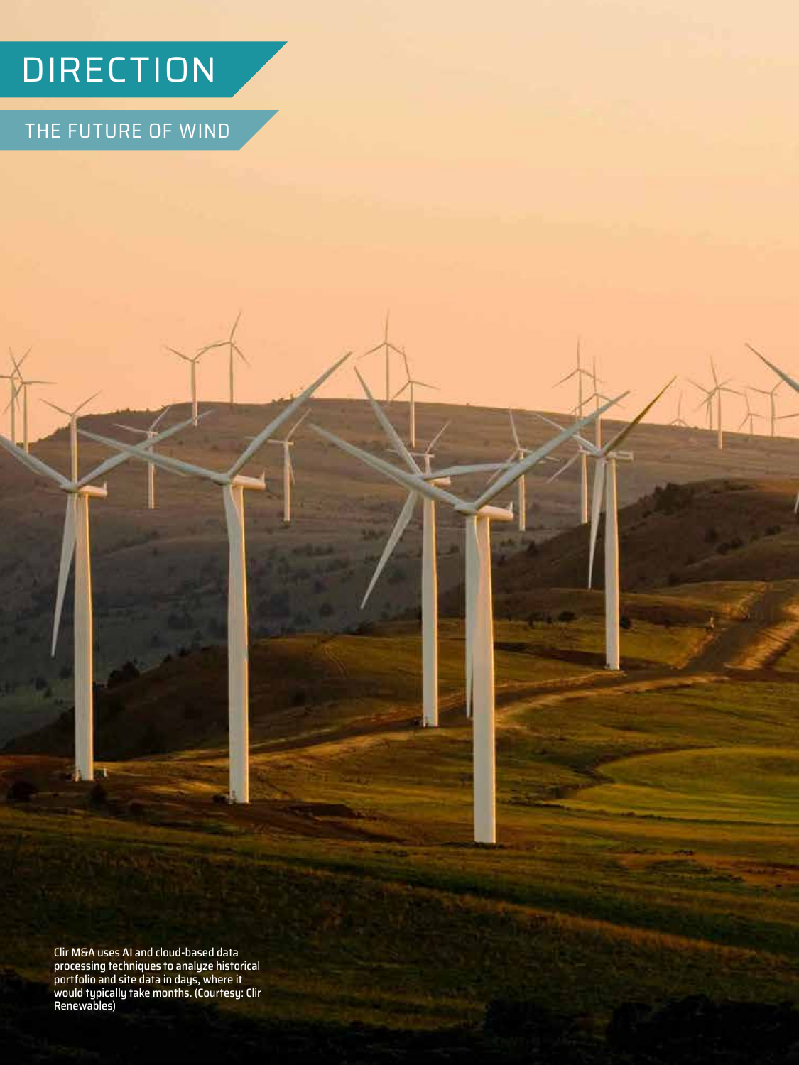# **DIRECTION**

THE FUTURE OF WIND

Clir M&A uses AI and cloud-based data processing techniques to analyze historical portfolio and site data in days, where it would typically take months. (Courtesy: Clir Renewables)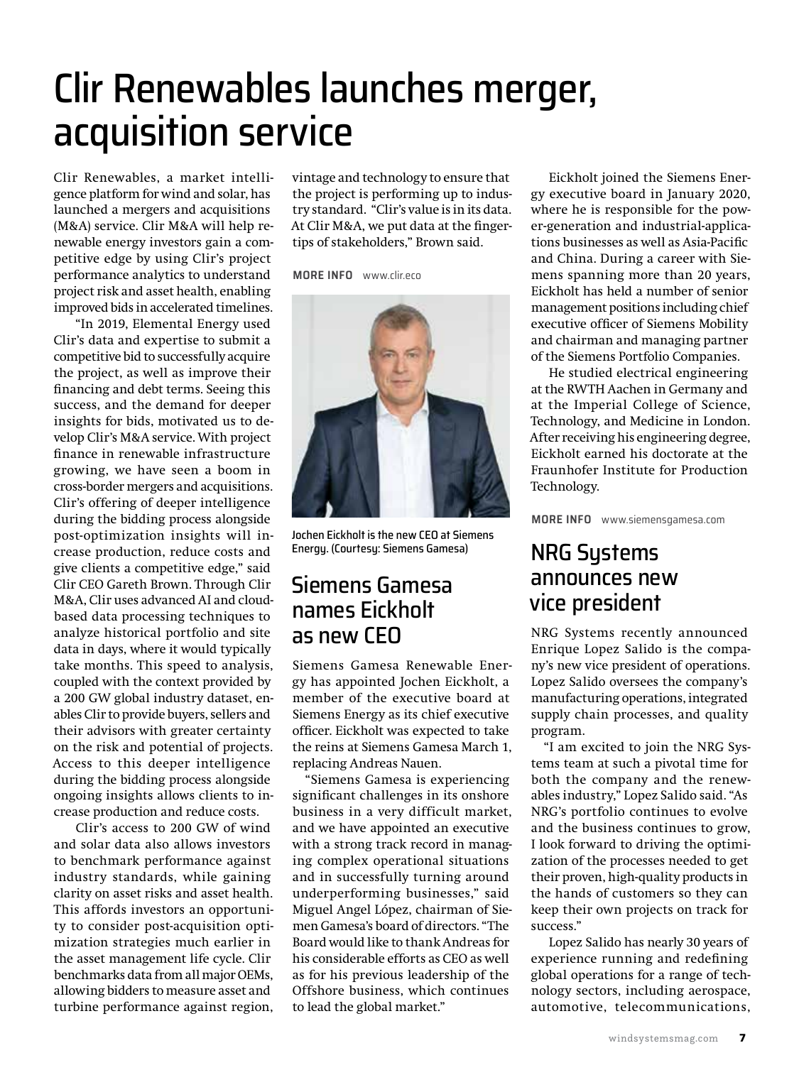## Clir Renewables launches merger, acquisition service

Clir Renewables, a market intelligence platform for wind and solar, has launched a mergers and acquisitions (M&A) service. Clir M&A will help renewable energy investors gain a competitive edge by using Clir's project performance analytics to understand project risk and asset health, enabling improved bids in accelerated timelines.

 "In 2019, Elemental Energy used Clir's data and expertise to submit a competitive bid to successfully acquire the project, as well as improve their financing and debt terms. Seeing this success, and the demand for deeper insights for bids, motivated us to develop Clir's M&A service. With project finance in renewable infrastructure growing, we have seen a boom in cross-border mergers and acquisitions. Clir's offering of deeper intelligence during the bidding process alongside post-optimization insights will increase production, reduce costs and give clients a competitive edge," said Clir CEO Gareth Brown. Through Clir M&A, Clir uses advanced AI and cloudbased data processing techniques to analyze historical portfolio and site data in days, where it would typically take months. This speed to analysis, coupled with the context provided by a 200 GW global industry dataset, enables Clir to provide buyers, sellers and their advisors with greater certainty on the risk and potential of projects. Access to this deeper intelligence during the bidding process alongside ongoing insights allows clients to increase production and reduce costs.

 Clir's access to 200 GW of wind and solar data also allows investors to benchmark performance against industry standards, while gaining clarity on asset risks and asset health. This affords investors an opportunity to consider post-acquisition optimization strategies much earlier in the asset management life cycle. Clir benchmarks data from all major OEMs, allowing bidders to measure asset and turbine performance against region,

vintage and technology to ensure that the project is performing up to industry standard. "Clir's value is in its data. At Clir M&A, we put data at the fingertips of stakeholders," Brown said.

**MORE INFO** [www.clir.eco](http://www.clir.eco)



Jochen Eickholt is the new CEO at Siemens Energy. (Courtesy: Siemens Gamesa)

## Siemens Gamesa names Eickholt as new CEO

Siemens Gamesa Renewable Energy has appointed Jochen Eickholt, a member of the executive board at Siemens Energy as its chief executive officer. Eickholt was expected to take the reins at Siemens Gamesa March 1, replacing Andreas Nauen.

"Siemens Gamesa is experiencing significant challenges in its onshore business in a very difficult market, and we have appointed an executive with a strong track record in managing complex operational situations and in successfully turning around underperforming businesses," said Miguel Angel López, chairman of Siemen Gamesa's board of directors. "The Board would like to thank Andreas for his considerable efforts as CEO as well as for his previous leadership of the Offshore business, which continues to lead the global market."

Eickholt joined the Siemens Energy executive board in January 2020, where he is responsible for the power-generation and industrial-applications businesses as well as Asia-Pacific and China. During a career with Siemens spanning more than 20 years, Eickholt has held a number of senior management positions including chief executive officer of Siemens Mobility and chairman and managing partner of the Siemens Portfolio Companies.

He studied electrical engineering at the RWTH Aachen in Germany and at the Imperial College of Science, Technology, and Medicine in London. After receiving his engineering degree, Eickholt earned his doctorate at the Fraunhofer Institute for Production Technology.

**MORE INFO** [www.siemensgamesa.com](http://www.siemensgamesa.com)

### NRG Systems announces new vice president

NRG Systems recently announced Enrique Lopez Salido is the company's new vice president of operations. Lopez Salido oversees the company's manufacturing operations, integrated supply chain processes, and quality program.

"I am excited to join the NRG Systems team at such a pivotal time for both the company and the renewables industry," Lopez Salido said. "As NRG's portfolio continues to evolve and the business continues to grow, I look forward to driving the optimization of the processes needed to get their proven, high-quality products in the hands of customers so they can keep their own projects on track for success."

Lopez Salido has nearly 30 years of experience running and redefining global operations for a range of technology sectors, including aerospace, automotive, telecommunications,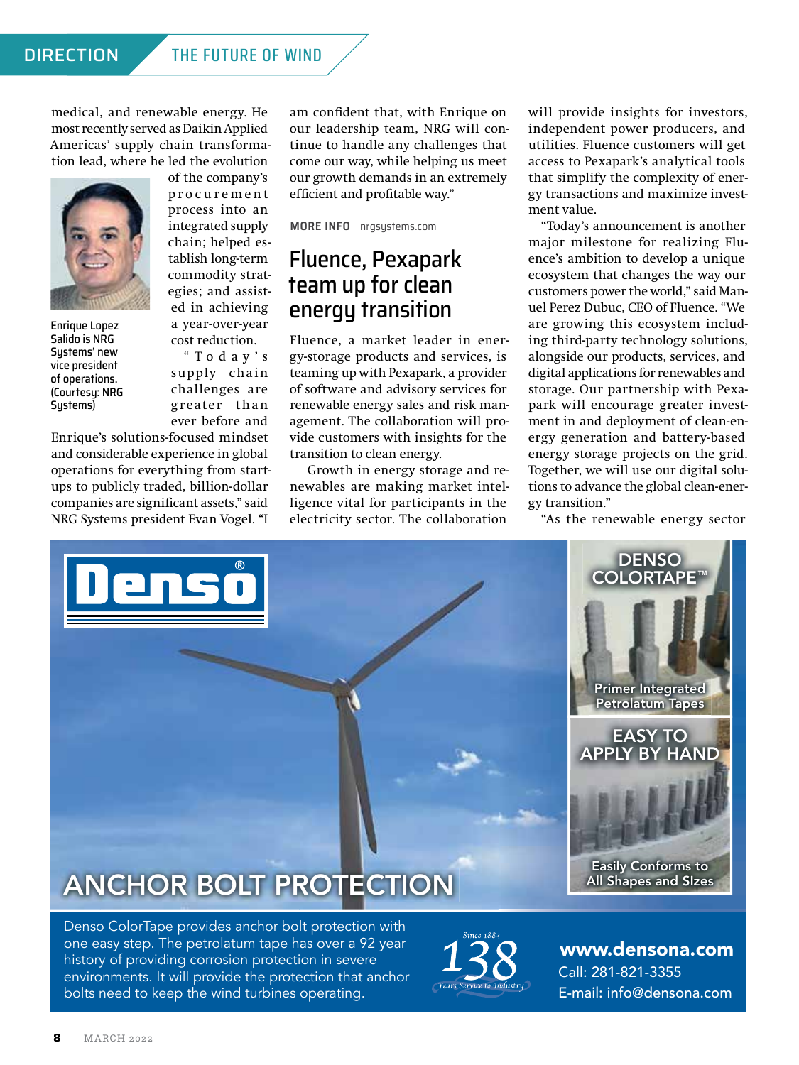### DIRECTION THE FUTURE OF WIND

medical, and renewable energy. He most recently served as Daikin Applied Americas' supply chain transformation lead, where he led the evolution



Enrique Lopez Salido is NRG Sustems' new vice president of operations. (Courtesy: NRG Sustems)

of the company's p r o c u r e m e n t process into an integrated supply chain; helped establish long-term commodity strategies; and assisted in achieving a year-over-year cost reduction.

" T o d a y ' s supply chain challenges are greater than ever before and

Enrique's solutions-focused mindset and considerable experience in global operations for everything from startups to publicly traded, billion-dollar companies are significant assets," said NRG Systems president Evan Vogel. "I

am confident that, with Enrique on our leadership team, NRG will continue to handle any challenges that come our way, while helping us meet our growth demands in an extremely efficient and profitable way."

**MORE INFO** nrgsystems.com

## Fluence, Pexapark team up for clean energy transition

Fluence, a market leader in energy-storage products and services, is teaming up with Pexapark, a provider of software and advisory services for renewable energy sales and risk management. The collaboration will provide customers with insights for the transition to clean energy.

Growth in energy storage and renewables are making market intelligence vital for participants in the electricity sector. The collaboration

will provide insights for investors, independent power producers, and utilities. Fluence customers will get access to Pexapark's analytical tools that simplify the complexity of energy transactions and maximize investment value.

"Today's announcement is another major milestone for realizing Fluence's ambition to develop a unique ecosystem that changes the way our customers power the world," said Manuel Perez Dubuc, CEO of Fluence. "We are growing this ecosystem including third-party technology solutions, alongside our products, services, and digital applications for renewables and storage. Our partnership with Pexapark will encourage greater investment in and deployment of clean-energy generation and battery-based energy storage projects on the grid. Together, we will use our digital solutions to advance the global clean-energy transition."

"As the renewable energy sector



Denso ColorTape provides anchor bolt protection with one easy step. The petrolatum tape has over a 92 year history of providing corrosion protection in severe environments. It will provide the protection that anchor bolts need to keep the wind turbines operating.



Call: 281-821-3355 E-mail[: info@densona.com](mailto:info@densona.com?subject=Referred by Wind Systems) [www.densona.com](http://www.densona.com)